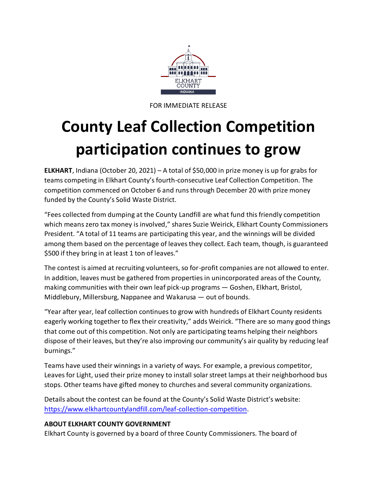

FOR IMMEDIATE RELEASE

## **County Leaf Collection Competition participation continues to grow**

**ELKHART**, Indiana (October 20, 2021) – A total of \$50,000 in prize money is up for grabs for teams competing in Elkhart County's fourth-consecutive Leaf Collection Competition. The competition commenced on October 6 and runs through December 20 with prize money funded by the County's Solid Waste District.

"Fees collected from dumping at the County Landfill are what fund thisfriendly competition which means zero tax money is involved," shares Suzie Weirick, Elkhart County Commissioners President. "A total of 11 teams are participating this year, and the winnings will be divided among them based on the percentage of leaves they collect. Each team, though, is guaranteed \$500 if they bring in at least 1 ton of leaves."

The contest is aimed at recruiting volunteers, so for-profit companies are not allowed to enter. In addition, leaves must be gathered from properties in unincorporated areas of the County, making communities with their own leaf pick-up programs — Goshen, Elkhart, Bristol, Middlebury, Millersburg, Nappanee and Wakarusa — out of bounds.

"Year after year, leaf collection continues to grow with hundreds of Elkhart County residents eagerly working together to flex their creativity," adds Weirick. "There are so many good things that come out of this competition. Not only are participating teams helping their neighbors dispose of their leaves, but they're also improving our community's air quality by reducing leaf burnings."

Teams have used their winnings in a variety of ways. For example, a previous competitor, Leaves for Light, used their prize money to install solar street lamps at their neighborhood bus stops. Other teams have gifted money to churches and several community organizations.

Details about the contest can be found at the County's Solid Waste District's website: [https://www.elkhartcountylandfill.com/leaf-collection-competition.](https://www.elkhartcountylandfill.com/leaf-collection-competition)

## **ABOUT ELKHART COUNTY GOVERNMENT**

Elkhart County is governed by a board of three County Commissioners. The board of